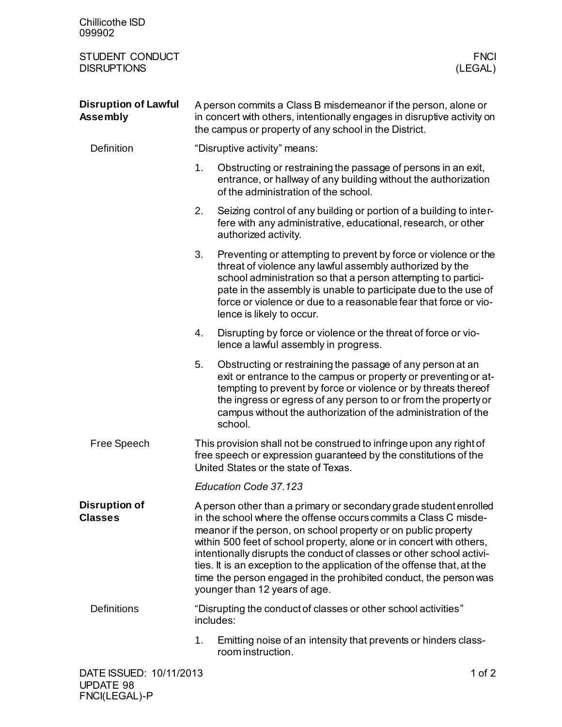| <b>Chillicothe ISD</b><br>099902               |                                                                                                                                                                                                                                                                                                                                                                                                                                                                                                                                          |                                                                                                                                                                                                                                                                                                                                                                  |  |
|------------------------------------------------|------------------------------------------------------------------------------------------------------------------------------------------------------------------------------------------------------------------------------------------------------------------------------------------------------------------------------------------------------------------------------------------------------------------------------------------------------------------------------------------------------------------------------------------|------------------------------------------------------------------------------------------------------------------------------------------------------------------------------------------------------------------------------------------------------------------------------------------------------------------------------------------------------------------|--|
| STUDENT CONDUCT<br><b>DISRUPTIONS</b>          |                                                                                                                                                                                                                                                                                                                                                                                                                                                                                                                                          | <b>FNCI</b><br>(LEGAL)                                                                                                                                                                                                                                                                                                                                           |  |
| <b>Disruption of Lawful</b><br><b>Assembly</b> | A person commits a Class B misdemeanor if the person, alone or<br>in concert with others, intentionally engages in disruptive activity on<br>the campus or property of any school in the District.                                                                                                                                                                                                                                                                                                                                       |                                                                                                                                                                                                                                                                                                                                                                  |  |
| <b>Definition</b>                              | "Disruptive activity" means:                                                                                                                                                                                                                                                                                                                                                                                                                                                                                                             |                                                                                                                                                                                                                                                                                                                                                                  |  |
|                                                | 1.                                                                                                                                                                                                                                                                                                                                                                                                                                                                                                                                       | Obstructing or restraining the passage of persons in an exit,<br>entrance, or hallway of any building without the authorization<br>of the administration of the school.                                                                                                                                                                                          |  |
|                                                | 2.                                                                                                                                                                                                                                                                                                                                                                                                                                                                                                                                       | Seizing control of any building or portion of a building to inter-<br>fere with any administrative, educational, research, or other<br>authorized activity.                                                                                                                                                                                                      |  |
|                                                | 3.                                                                                                                                                                                                                                                                                                                                                                                                                                                                                                                                       | Preventing or attempting to prevent by force or violence or the<br>threat of violence any lawful assembly authorized by the<br>school administration so that a person attempting to partici-<br>pate in the assembly is unable to participate due to the use of<br>force or violence or due to a reasonable fear that force or vio-<br>lence is likely to occur. |  |
|                                                | 4.                                                                                                                                                                                                                                                                                                                                                                                                                                                                                                                                       | Disrupting by force or violence or the threat of force or vio-<br>lence a lawful assembly in progress.                                                                                                                                                                                                                                                           |  |
|                                                | 5.                                                                                                                                                                                                                                                                                                                                                                                                                                                                                                                                       | Obstructing or restraining the passage of any person at an<br>exit or entrance to the campus or property or preventing or at-<br>tempting to prevent by force or violence or by threats thereof<br>the ingress or egress of any person to or from the property or<br>campus without the authorization of the administration of the<br>school.                    |  |
| Free Speech                                    | This provision shall not be construed to infringe upon any right of<br>free speech or expression guaranteed by the constitutions of the<br>United States or the state of Texas.                                                                                                                                                                                                                                                                                                                                                          |                                                                                                                                                                                                                                                                                                                                                                  |  |
|                                                |                                                                                                                                                                                                                                                                                                                                                                                                                                                                                                                                          | Education Code 37.123                                                                                                                                                                                                                                                                                                                                            |  |
| <b>Disruption of</b><br><b>Classes</b>         | A person other than a primary or secondary grade student enrolled<br>in the school where the offense occurs commits a Class C misde-<br>meanor if the person, on school property or on public property<br>within 500 feet of school property, alone or in concert with others,<br>intentionally disrupts the conduct of classes or other school activi-<br>ties. It is an exception to the application of the offense that, at the<br>time the person engaged in the prohibited conduct, the person was<br>younger than 12 years of age. |                                                                                                                                                                                                                                                                                                                                                                  |  |
| <b>Definitions</b>                             |                                                                                                                                                                                                                                                                                                                                                                                                                                                                                                                                          | "Disrupting the conduct of classes or other school activities"<br>includes:                                                                                                                                                                                                                                                                                      |  |
|                                                | 1.                                                                                                                                                                                                                                                                                                                                                                                                                                                                                                                                       | Emitting noise of an intensity that prevents or hinders class-<br>room instruction.                                                                                                                                                                                                                                                                              |  |
| DATE ISSUED: 10/11/2013                        |                                                                                                                                                                                                                                                                                                                                                                                                                                                                                                                                          | 1 of $2$                                                                                                                                                                                                                                                                                                                                                         |  |